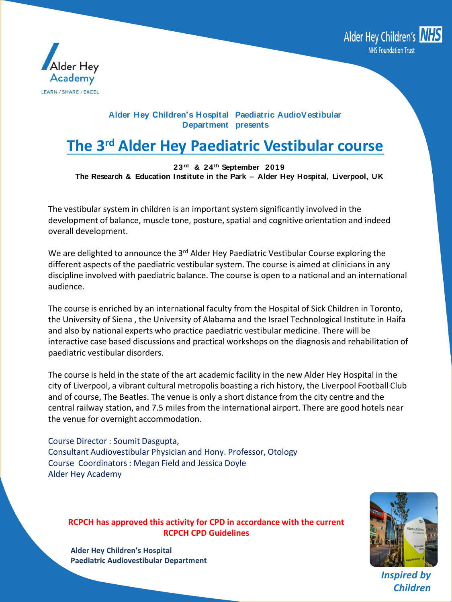



### **Alder Hey Children's Hospital Paediatric AudioVestibular Department presents**

# **The 3<sup>rd</sup> Alder Hey Paediatric Vestibular course**

**23rd & 24th September 2019 The Research & Education Institute in the Park – Alder Hey Hospital, Liverpool, UK**

The vestibular system in children is an important system significantly involved in the development of balance, muscle tone, posture, spatial and cognitive orientation and indeed overall development.

We are delighted to announce the 3<sup>rd</sup> Alder Hey Paediatric Vestibular Course exploring the different aspects of the paediatric vestibular system. The course is aimed at clinicians in any discipline involved with paediatric balance. The course is open to a national and an international audience.

The course is enriched by an international faculty from the Hospital of Sick Children in Toronto, the University of Siena , the University of Alabama and the Israel Technological Institute in Haifa and also by national experts who practice paediatric vestibular medicine. There will be interactive case based discussions and practical workshops on the diagnosis and rehabilitation of paediatric vestibular disorders.

The course is held in the state of the art academic facility in the new Alder Hey Hospital in the city of Liverpool, a vibrant cultural metropolis boasting a rich history, the Liverpool Football Club and of course, The Beatles. The venue is only a short distance from the city centre and the central railway station, and 7.5 miles from the international airport. There are good hotels near the venue for overnight accommodation.

Course Director : Soumit Dasgupta, Consultant Audiovestibular Physician and Hony. Professor, Otology Course Coordinators : Megan Field and Jessica Doyle Alder Hey Academy

### **RCPCH has approved this activity for CPD in accordance with the current RCPCH CPD Guidelines**



*Inspired by Children*

**Alder Hey Children's Hospital Paediatric Audiovestibular Department**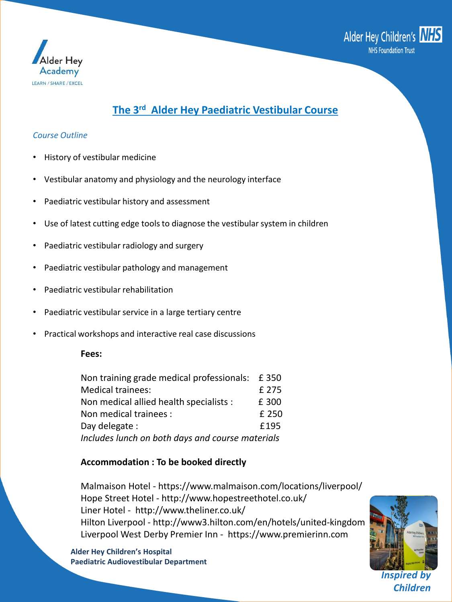



#### *Course Outline*

- History of vestibular medicine
- Vestibular anatomy and physiology and the neurology interface
- Paediatric vestibular history and assessment
- Use of latest cutting edge tools to diagnose the vestibular system in children
- Paediatric vestibular radiology and surgery
- Paediatric vestibular pathology and management
- Paediatric vestibular rehabilitation
- Paediatric vestibular service in a large tertiary centre
- Practical workshops and interactive real case discussions

#### **Fees:**

| Non training grade medical professionals: £350   |       |  |
|--------------------------------------------------|-------|--|
| <b>Medical trainees:</b>                         | f 275 |  |
| Non medical allied health specialists :          | £ 300 |  |
| Non medical trainees :                           | £ 250 |  |
| Day delegate:                                    | £195  |  |
| Includes lunch on both days and course materials |       |  |

#### **Accommodation : To be booked directly**

Malmaison Hotel - https://www.malmaison.com/locations/liverpool/ Hope Street Hotel - http://www.hopestreethotel.co.uk/ Liner Hotel - http://www.theliner.co.uk/ Hilton Liverpool - http://www3.hilton.com/en/hotels/united-kingdom Liverpool West Derby Premier Inn - https://www.premierinn.com

*Inspired by Children*

**Alder Hey Children's Hospital Paediatric Audiovestibular Department**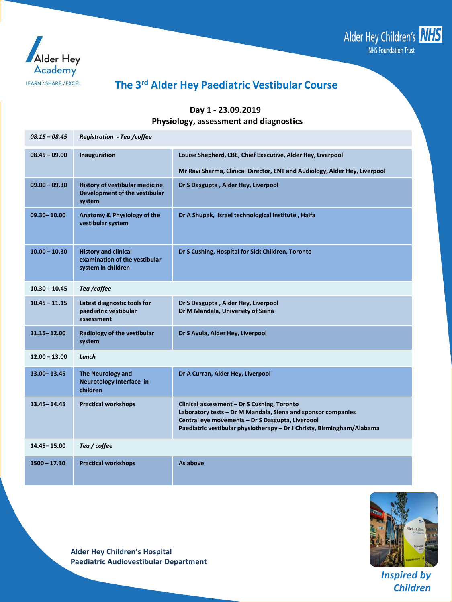



### **The 3 rd Alder Hey Paediatric Vestibular Course**

#### **Day 1 - 23.09.2019 Physiology, assessment and diagnostics**

| $08.15 - 08.45$ | Registration - Tea /coffee                                                         |                                                                                                                                                                                                                                           |
|-----------------|------------------------------------------------------------------------------------|-------------------------------------------------------------------------------------------------------------------------------------------------------------------------------------------------------------------------------------------|
| $08.45 - 09.00$ | Inauguration                                                                       | Louise Shepherd, CBE, Chief Executive, Alder Hey, Liverpool                                                                                                                                                                               |
|                 |                                                                                    | Mr Ravi Sharma, Clinical Director, ENT and Audiology, Alder Hey, Liverpool                                                                                                                                                                |
| $09.00 - 09.30$ | History of vestibular medicine<br>Development of the vestibular<br>system          | Dr S Dasgupta, Alder Hey, Liverpool                                                                                                                                                                                                       |
| $09.30 - 10.00$ | Anatomy & Physiology of the<br>vestibular system                                   | Dr A Shupak, Israel technological Institute, Haifa                                                                                                                                                                                        |
| $10.00 - 10.30$ | <b>History and clinical</b><br>examination of the vestibular<br>system in children | Dr S Cushing, Hospital for Sick Children, Toronto                                                                                                                                                                                         |
| 10.30 - 10.45   | Tea /coffee                                                                        |                                                                                                                                                                                                                                           |
| $10.45 - 11.15$ | Latest diagnostic tools for<br>paediatric vestibular<br>assessment                 | Dr S Dasgupta, Alder Hey, Liverpool<br>Dr M Mandala, University of Siena                                                                                                                                                                  |
| $11.15 - 12.00$ | Radiology of the vestibular<br>system                                              | Dr S Avula, Alder Hey, Liverpool                                                                                                                                                                                                          |
| $12.00 - 13.00$ | Lunch                                                                              |                                                                                                                                                                                                                                           |
| 13.00 - 13.45   | <b>The Neurology and</b><br>Neurotology Interface in<br>children                   | Dr A Curran, Alder Hey, Liverpool                                                                                                                                                                                                         |
| 13.45 - 14.45   | <b>Practical workshops</b>                                                         | Clinical assessment - Dr S Cushing, Toronto<br>Laboratory tests - Dr M Mandala, Siena and sponsor companies<br>Central eye movements - Dr S Dasgupta, Liverpool<br>Paediatric vestibular physiotherapy - Dr J Christy, Birmingham/Alabama |
| 14.45 - 15.00   | Tea / coffee                                                                       |                                                                                                                                                                                                                                           |
| $1500 - 17.30$  | <b>Practical workshops</b>                                                         | As above                                                                                                                                                                                                                                  |

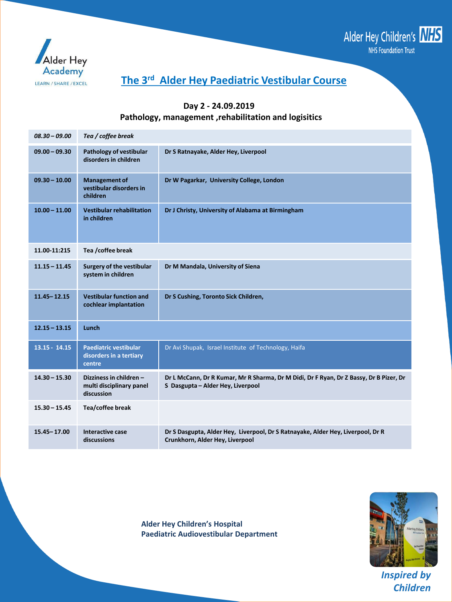



### **Day 2 - 24.09.2019 Pathology, management ,rehabilitation and logisitics**

| $08.30 - 09.00$ | Tea / coffee break                                                |                                                                                                                             |  |
|-----------------|-------------------------------------------------------------------|-----------------------------------------------------------------------------------------------------------------------------|--|
| $09.00 - 09.30$ | Pathology of vestibular<br>disorders in children                  | Dr S Ratnayake, Alder Hey, Liverpool                                                                                        |  |
| $09.30 - 10.00$ | <b>Management of</b><br>vestibular disorders in<br>children       | Dr W Pagarkar, University College, London                                                                                   |  |
| $10.00 - 11.00$ | Vestibular rehabilitation<br>in children                          | Dr J Christy, University of Alabama at Birmingham                                                                           |  |
| 11.00 11:215    | Tea / coffee break                                                |                                                                                                                             |  |
| $11.15 - 11.45$ | <b>Surgery of the vestibular</b><br>system in children            | Dr M Mandala, University of Siena                                                                                           |  |
| $11.45 - 12.15$ | <b>Vestibular function and</b><br>cochlear implantation           | Dr S Cushing, Toronto Sick Children,                                                                                        |  |
| $12.15 - 13.15$ | Lunch                                                             |                                                                                                                             |  |
| $13.15 - 14.15$ | <b>Paediatric vestibular</b><br>disorders in a tertiary<br>centre | Dr Avi Shupak, Israel Institute of Technology, Haifa                                                                        |  |
| $14.30 - 15.30$ | Dizziness in children-<br>multi disciplinary panel<br>discussion  | Dr L McCann, Dr R Kumar, Mr R Sharma, Dr M Didi, Dr F Ryan, Dr Z Bassy, Dr B Pizer, Dr<br>S Dasgupta - Alder Hey, Liverpool |  |
| $15.30 - 15.45$ | Tea/coffee break                                                  |                                                                                                                             |  |
| 15.45 - 17.00   | Interactive case<br>discussions                                   | Dr S Dasgupta, Alder Hey, Liverpool, Dr S Ratnayake, Alder Hey, Liverpool, Dr R<br>Crunkhorn, Alder Hey, Liverpool          |  |

**Alder Hey Children's Hospital Paediatric Audiovestibular Department**

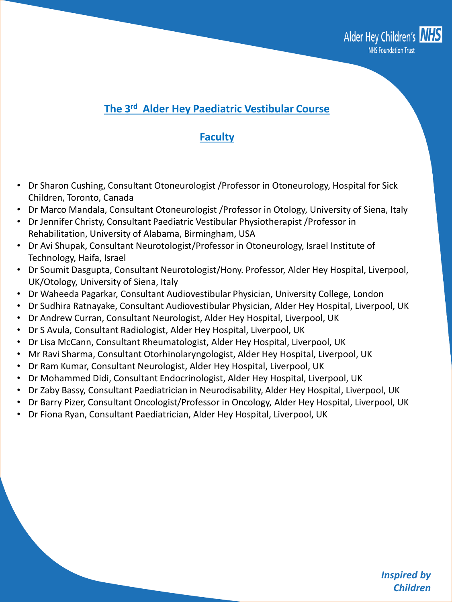

### **Faculty**

- Dr Sharon Cushing, Consultant Otoneurologist /Professor in Otoneurology, Hospital for Sick Children, Toronto, Canada
- Dr Marco Mandala, Consultant Otoneurologist /Professor in Otology, University of Siena, Italy
- Dr Jennifer Christy, Consultant Paediatric Vestibular Physiotherapist /Professor in Rehabilitation, University of Alabama, Birmingham, USA
- Dr Avi Shupak, Consultant Neurotologist/Professor in Otoneurology, Israel Institute of Technology, Haifa, Israel
- Dr Soumit Dasgupta, Consultant Neurotologist/Hony. Professor, Alder Hey Hospital, Liverpool, UK/Otology, University of Siena, Italy
- Dr Waheeda Pagarkar, Consultant Audiovestibular Physician, University College, London
- Dr Sudhira Ratnayake, Consultant Audiovestibular Physician, Alder Hey Hospital, Liverpool, UK
- Dr Andrew Curran, Consultant Neurologist, Alder Hey Hospital, Liverpool, UK
- Dr S Avula, Consultant Radiologist, Alder Hey Hospital, Liverpool, UK
- Dr Lisa McCann, Consultant Rheumatologist, Alder Hey Hospital, Liverpool, UK
- Mr Ravi Sharma, Consultant Otorhinolaryngologist, Alder Hey Hospital, Liverpool, UK
- Dr Ram Kumar, Consultant Neurologist, Alder Hey Hospital, Liverpool, UK
- Dr Mohammed Didi, Consultant Endocrinologist, Alder Hey Hospital, Liverpool, UK
- Dr Zaby Bassy, Consultant Paediatrician in Neurodisability, Alder Hey Hospital, Liverpool, UK
- Dr Barry Pizer, Consultant Oncologist/Professor in Oncology, Alder Hey Hospital, Liverpool, UK
- Dr Fiona Ryan, Consultant Paediatrician, Alder Hey Hospital, Liverpool, UK